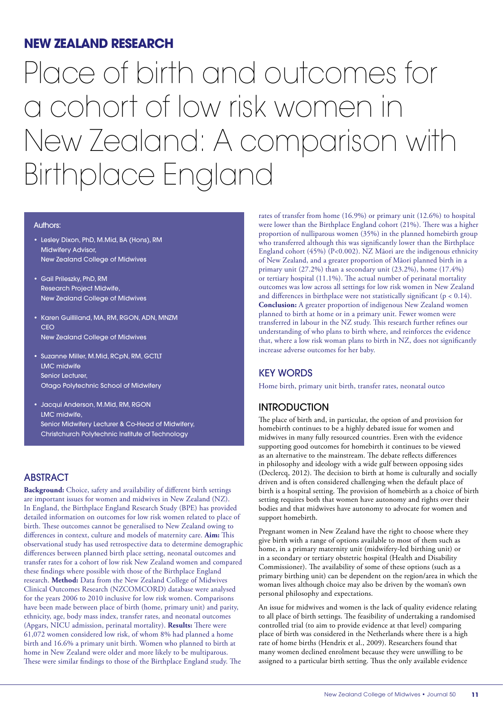# **NEW ZEALAND RESEARCH**

# Place of birth and outcomes for a cohort of low risk women in New Zealand: A comparison with Birthplace England

#### Authors:

- Lesley Dixon, PhD, M.Mid, BA (Hons), RM Midwifery Advisor, New Zealand College of Midwives
- Gail Prileszky, PhD, RM Research Project Midwife, New Zealand College of Midwives
- Karen Guilliland, MA, RM, RGON, ADN, MNZM **CEO** New Zealand College of Midwives
- Suzanne Miller, M.Mid, RCpN, RM, GCTLT LMC midwife Senior Lecturer, Otago Polytechnic School of Midwifery
- Jacqui Anderson, M.Mid, RM, RGON LMC midwife, Senior Midwifery Lecturer & Co-Head of Midwifery, Christchurch Polytechnic Institute of Technology

# **ABSTRACT**

**Background:** Choice, safety and availability of different birth settings are important issues for women and midwives in New Zealand (NZ). In England, the Birthplace England Research Study (BPE) has provided detailed information on outcomes for low risk women related to place of birth. These outcomes cannot be generalised to New Zealand owing to differences in context, culture and models of maternity care. **Aim:** This observational study has used retrospective data to determine demographic differences between planned birth place setting, neonatal outcomes and transfer rates for a cohort of low risk New Zealand women and compared these findings where possible with those of the Birthplace England research. **Method:** Data from the New Zealand College of Midwives Clinical Outcomes Research (NZCOMCORD) database were analysed for the years 2006 to 2010 inclusive for low risk women. Comparisons have been made between place of birth (home, primary unit) and parity, ethnicity, age, body mass index, transfer rates, and neonatal outcomes (Apgars, NICU admission, perinatal mortality). **Results:** There were 61,072 women considered low risk, of whom 8% had planned a home birth and 16.6% a primary unit birth. Women who planned to birth at home in New Zealand were older and more likely to be multiparous. These were similar findings to those of the Birthplace England study. The

rates of transfer from home (16.9%) or primary unit (12.6%) to hospital were lower than the Birthplace England cohort (21%). There was a higher proportion of nulliparous women (35%) in the planned homebirth group who transferred although this was significantly lower than the Birthplace England cohort (45%) (P<0.002). NZ Māori are the indigenous ethnicity of New Zealand, and a greater proportion of Māori planned birth in a primary unit (27.2%) than a secondary unit (23.2%), home (17.4%) or tertiary hospital (11.1%). The actual number of perinatal mortality outcomes was low across all settings for low risk women in New Zealand and differences in birthplace were not statistically significant ( $p < 0.14$ ). **Conclusion:** A greater proportion of indigenous New Zealand women planned to birth at home or in a primary unit. Fewer women were transferred in labour in the NZ study. This research further refines our understanding of who plans to birth where, and reinforces the evidence that, where a low risk woman plans to birth in NZ, does not significantly increase adverse outcomes for her baby.

# KEY WORDS

Home birth, primary unit birth, transfer rates, neonatal outco

# **INTRODUCTION**

The place of birth and, in particular, the option of and provision for homebirth continues to be a highly debated issue for women and midwives in many fully resourced countries. Even with the evidence supporting good outcomes for homebirth it continues to be viewed as an alternative to the mainstream. The debate reflects differences in philosophy and ideology with a wide gulf between opposing sides (Declercq, 2012). The decision to birth at home is culturally and socially driven and is often considered challenging when the default place of birth is a hospital setting. The provision of homebirth as a choice of birth setting requires both that women have autonomy and rights over their bodies and that midwives have autonomy to advocate for women and support homebirth.

Pregnant women in New Zealand have the right to choose where they give birth with a range of options available to most of them such as home, in a primary maternity unit (midwifery-led birthing unit) or in a secondary or tertiary obstetric hospital (Health and Disability Commissioner). The availability of some of these options (such as a primary birthing unit) can be dependent on the region/area in which the woman lives although choice may also be driven by the woman's own personal philosophy and expectations.

An issue for midwives and women is the lack of quality evidence relating to all place of birth settings. The feasibility of undertaking a randomised controlled trial (to aim to provide evidence at that level) comparing place of birth was considered in the Netherlands where there is a high rate of home births (Hendrix et al., 2009). Researchers found that many women declined enrolment because they were unwilling to be assigned to a particular birth setting. Thus the only available evidence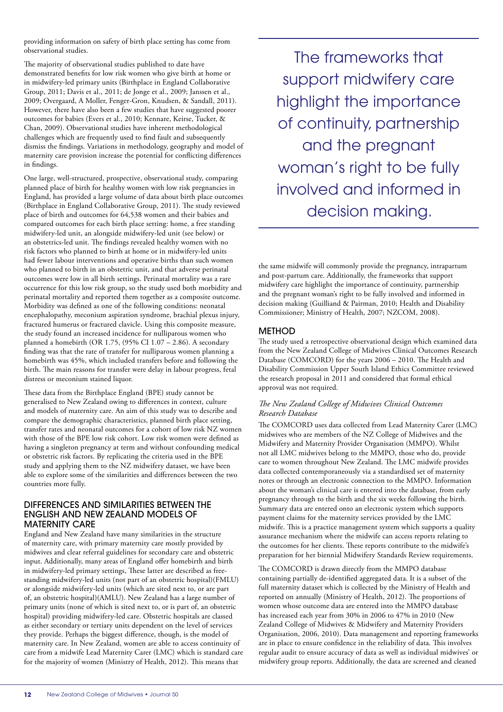providing information on safety of birth place setting has come from observational studies.

The majority of observational studies published to date have demonstrated benefits for low risk women who give birth at home or in midwifery-led primary units (Birthplace in England Collaborative Group, 2011; Davis et al., 2011; de Jonge et al., 2009; Janssen et al., 2009; Overgaard, A Moller, Fenger-Gron, Knudsen, & Sandall, 2011). However, there have also been a few studies that have suggested poorer outcomes for babies (Evers et al., 2010; Kennare, Keirse, Tucker, & Chan, 2009). Observational studies have inherent methodological challenges which are frequently used to find fault and subsequently dismiss the findings. Variations in methodology, geography and model of maternity care provision increase the potential for conflicting differences in findings.

One large, well-structured, prospective, observational study, comparing planned place of birth for healthy women with low risk pregnancies in England, has provided a large volume of data about birth place outcomes (Birthplace in England Collaborative Group, 2011). The study reviewed place of birth and outcomes for 64,538 women and their babies and compared outcomes for each birth place setting: home, a free standing midwifery-led unit, an alongside midwifery-led unit (see below) or an obstetrics-led unit. The findings revealed healthy women with no risk factors who planned to birth at home or in midwifery-led units had fewer labour interventions and operative births than such women who planned to birth in an obstetric unit, and that adverse perinatal outcomes were low in all birth settings. Perinatal mortality was a rare occurrence for this low risk group, so the study used both morbidity and perinatal mortality and reported them together as a composite outcome. Morbidity was defined as one of the following conditions: neonatal encephalopathy, meconium aspiration syndrome, brachial plexus injury, fractured humerus or fractured clavicle. Using this composite measure, the study found an increased incidence for nulliparous women who planned a homebirth (OR 1.75, (95% CI 1.07 – 2.86). A secondary finding was that the rate of transfer for nulliparous women planning a homebirth was 45%, which included transfers before and following the birth. The main reasons for transfer were delay in labour progress, fetal distress or meconium stained liquor.

These data from the Birthplace England (BPE) study cannot be generalised to New Zealand owing to differences in context, culture and models of maternity care. An aim of this study was to describe and compare the demographic characteristics, planned birth place setting, transfer rates and neonatal outcomes for a cohort of low risk NZ women with those of the BPE low risk cohort. Low risk women were defined as having a singleton pregnancy at term and without confounding medical or obstetric risk factors. By replicating the criteria used in the BPE study and applying them to the NZ midwifery dataset, we have been able to explore some of the similarities and differences between the two countries more fully.

## DIFFERENCES AND SIMILARITIES BETWEEN THE ENGLISH AND NEW ZEALAND MODELS OF MATERNITY CARE

England and New Zealand have many similarities in the structure of maternity care, with primary maternity care mostly provided by midwives and clear referral guidelines for secondary care and obstetric input. Additionally, many areas of England offer homebirth and birth in midwifery-led primary settings, These latter are described as freestanding midwifery-led units (not part of an obstetric hospital)(FMLU) or alongside midwifery-led units (which are sited next to, or are part of, an obstetric hospital)(AMLU). New Zealand has a large number of primary units (none of which is sited next to, or is part of, an obstetric hospital) providing midwifery-led care. Obstetric hospitals are classed as either secondary or tertiary units dependent on the level of services they provide. Perhaps the biggest difference, though, is the model of maternity care. In New Zealand, women are able to access continuity of care from a midwife Lead Maternity Carer (LMC) which is standard care for the majority of women (Ministry of Health, 2012). This means that

The frameworks that support midwifery care highlight the importance of continuity, partnership and the pregnant woman's right to be fully involved and informed in decision making.

the same midwife will commonly provide the pregnancy, intrapartum and post-partum care. Additionally, the frameworks that support midwifery care highlight the importance of continuity, partnership and the pregnant woman's right to be fully involved and informed in decision making (Guilliand & Pairman, 2010; Health and Disability Commissioner; Ministry of Health, 2007; NZCOM, 2008).

## METHOD

The study used a retrospective observational design which examined data from the New Zealand College of Midwives Clinical Outcomes Research Database (COMCORD) for the years 2006 – 2010. The Health and Disability Commission Upper South Island Ethics Committee reviewed the research proposal in 2011 and considered that formal ethical approval was not required.

## *The New Zealand College of Midwives Clinical Outcomes Research Database*

The COMCORD uses data collected from Lead Maternity Carer (LMC) midwives who are members of the NZ College of Midwives and the Midwifery and Maternity Provider Organisation (MMPO). Whilst not all LMC midwives belong to the MMPO, those who do, provide care to women throughout New Zealand. The LMC midwife provides data collected contemporaneously via a standardised set of maternity notes or through an electronic connection to the MMPO. Information about the woman's clinical care is entered into the database, from early pregnancy through to the birth and the six weeks following the birth. Summary data are entered onto an electronic system which supports payment claims for the maternity services provided by the LMC midwife. This is a practice management system which supports a quality assurance mechanism where the midwife can access reports relating to the outcomes for her clients. These reports contribute to the midwife's preparation for her biennial Midwifery Standards Review requirements.

The COMCORD is drawn directly from the MMPO database containing partially de-identified aggregated data. It is a subset of the full maternity dataset which is collected by the Ministry of Health and reported on annually (Ministry of Health, 2012). The proportions of women whose outcome data are entered into the MMPO database has increased each year from 30% in 2006 to 47% in 2010 (New Zealand College of Midwives & Midwifery and Maternity Providers Organisation, 2006, 2010). Data management and reporting frameworks are in place to ensure confidence in the reliability of data. This involves regular audit to ensure accuracy of data as well as individual midwives' or midwifery group reports. Additionally, the data are screened and cleaned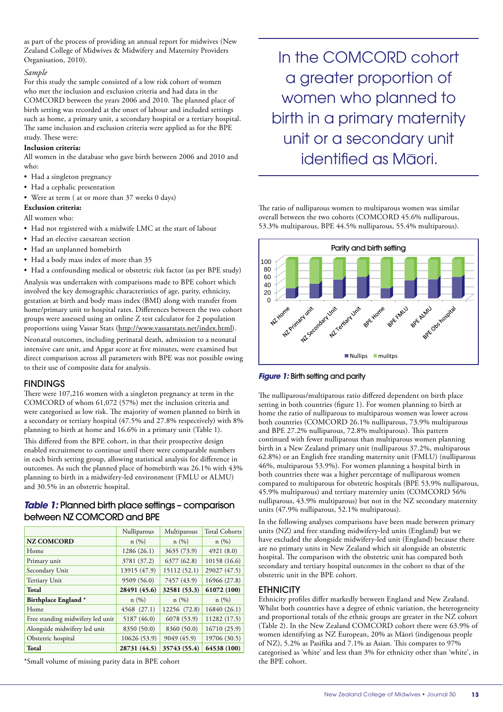as part of the process of providing an annual report for midwives (New Zealand College of Midwives & Midwifery and Maternity Providers Organisation, 2010).

#### *Sample*

For this study the sample consisted of a low risk cohort of women who met the inclusion and exclusion criteria and had data in the COMCORD between the years 2006 and 2010. The planned place of birth setting was recorded at the onset of labour and included settings such as home, a primary unit, a secondary hospital or a tertiary hospital. The same inclusion and exclusion criteria were applied as for the BPE study. These were:

## **Inclusion criteria:**

All women in the database who gave birth between 2006 and 2010 and who:

- Had a singleton pregnancy
- Had a cephalic presentation
- Were at term ( at or more than 37 weeks 0 days)

## **Exclusion criteria:**

## All women who:

- Had not registered with a midwife LMC at the start of labour
- Had an elective caesarean section
- Had an unplanned homebirth
- Had a body mass index of more than 35
- Had a confounding medical or obstetric risk factor (as per BPE study)

Analysis was undertaken with comparisons made to BPE cohort which involved the key demographic characteristics of age, parity, ethnicity, gestation at birth and body mass index (BMI) along with transfer from home/primary unit to hospital rates. Differences between the two cohort groups were assessed using an online Z test calculator for 2 population proportions using Vassar Stats (http://www.vassarstats.net/index.html).

Neonatal outcomes, including perinatal death, admission to a neonatal intensive care unit, and Apgar score at five minutes, were examined but direct comparison across all parameters with BPE was not possible owing to their use of composite data for analysis.

## **FINDINGS**

There were 107,216 women with a singleton pregnancy at term in the COMCORD of whom 61,072 (57%) met the inclusion criteria and were categorised as low risk. The majority of women planned to birth in a secondary or tertiary hospital (47.5% and 27.8% respectively) with 8% planning to birth at home and 16.6% in a primary unit (Table 1).

This differed from the BPE cohort, in that their prospective design enabled recruitment to continue until there were comparable numbers in each birth setting group, allowing statistical analysis for difference in outcomes. As such the planned place of homebirth was 26.1% with 43% planning to birth in a midwifery-led environment (FMLU or ALMU) and 30.5% in an obstetric hospital.

# *Table 1:* Planned birth place settings - comparison between NZ COMCORD and BPE

|                                  | Nulliparous  | Multiparous  | <b>Total Cohorts</b> |
|----------------------------------|--------------|--------------|----------------------|
| <b>NZ COMCORD</b>                | n(%)         | n(%)         | n(%)                 |
| Home                             | 1286(26.1)   | 3635 (73.9)  | 4921 (8.0)           |
| Primary unit                     | 3781 (37.2)  | 6377 (62.8)  | 10158 (16.6)         |
| Secondary Unit                   | 13915 (47.9) | 15112 (52.1) | 29027 (47.5)         |
| Tertiary Unit                    | 9509 (56.0)  | 7457 (43.9)  | 16966 (27.8)         |
| Total                            | 28491 (45.6) | 32581 (53.3) | 61072 (100)          |
| Birthplace England *             | n(%)         | n(%)         | n(%)                 |
| Home                             | 4568 (27.1)  | 12256 (72.8) | 16840 (26.1)         |
| Free standing midwifery led unit | 5187 (46.0)  | 6078 (53.9)  | 11282 (17.5)         |
| Alongside midwifery led unit     | 8350 (50.0)  | 8360 (50.0)  | 16710 (25.9)         |
| Obstetric hospital               | 10626 (53.9) | 9049 (45.9)  | 19706 (30.5)         |
| Total                            | 28731 (44.5) | 35743 (55.4) | 64538 (100)          |

\*Small volume of missing parity data in BPE cohort

In the COMCORD cohort a greater proportion of women who planned to birth in a primary maternity unit or a secondary unit identified as Maori.

The ratio of nulliparous women to multiparous women was similar overall between the two cohorts (COMCORD 45.6% nulliparous, 53.3% multiparous, BPE 44.5% nulliparous, 55.4% multiparous).





The nulliparous/multiparous ratio differed dependent on birth place setting in both countries (figure 1). For women planning to birth at home the ratio of nulliparous to multiparous women was lower across both countries (COMCORD 26.1% nulliparous, 73.9% multiparous and BPE 27.2% nulliparous, 72.8% multiparous). This pattern continued with fewer nulliparous than multiparous women planning birth in a New Zealand primary unit (nulliparous 37.2%, multiparous 62.8%) or an English free standing maternity unit (FMLU) (nulliparous 46%, multiparous 53.9%). For women planning a hospital birth in both countries there was a higher percentage of nulliparous women compared to multiparous for obstetric hospitals (BPE 53.9% nulliparous, 45.9% multiparous) and tertiary maternity units (COMCORD 56% nulliparous, 43.9% multiparous) but not in the NZ secondary maternity units (47.9% nulliparous, 52.1% multiparous).

In the following analyses comparisons have been made between primary units (NZ) and free standing midwifery-led units (England) but we have excluded the alongside midwifery-led unit (England) because there are no primary units in New Zealand which sit alongside an obstetric hospital. The comparison with the obstetric unit has compared both secondary and tertiary hospital outcomes in the cohort to that of the obstetric unit in the BPE cohort.

## **ETHNICITY**

Ethnicity profiles differ markedly between England and New Zealand. Whilst both countries have a degree of ethnic variation, the heterogeneity and proportional totals of the ethnic groups are greater in the NZ cohort (Table 2). In the New Zealand COMCORD cohort there were 63.9% of women identifying as NZ European, 20% as Māori (indigenous people of NZ), 5.2% as Pasifika and 7.1% as Asian. This compares to 97% categorised as 'white' and less than 3% for ethnicity other than 'white', in the BPE cohort.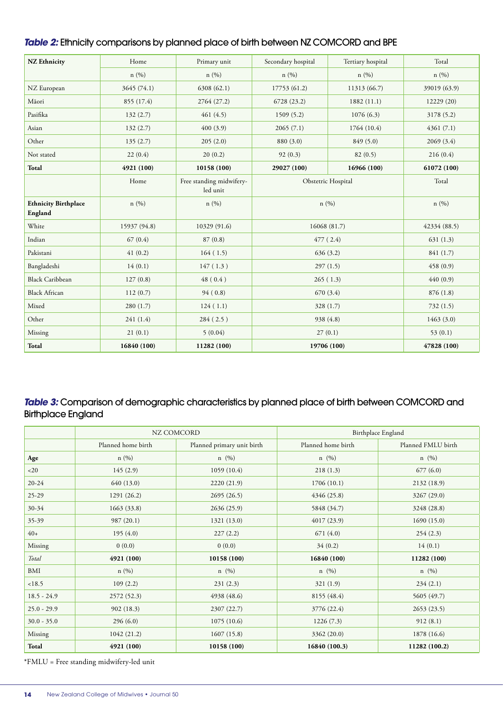# **Table 2:** Ethnicity comparisons by planned place of birth between NZ COMCORD and BPE

| <b>NZ Ethnicity</b>                    | Home         | Primary unit                         | Secondary hospital | Tertiary hospital  | Total        |
|----------------------------------------|--------------|--------------------------------------|--------------------|--------------------|--------------|
|                                        | n(%)         | n(%)                                 | n(%)               | n(%)               | n (%)        |
| NZ European                            | 3645 (74.1)  | 6308 (62.1)                          | 17753 (61.2)       | 11313 (66.7)       | 39019 (63.9) |
| Māori                                  | 855 (17.4)   | 2764 (27.2)                          | 6728 (23.2)        | 1882(11.1)         | 12229 (20)   |
| Pasifika                               | 132(2.7)     | 461(4.5)                             | 1509(5.2)          | 1076(6.3)          | 3178 (5.2)   |
| Asian                                  | 132(2.7)     | 400(3.9)                             | 2065(7.1)          | 1764 (10.4)        | 4361(7.1)    |
| Other                                  | 135(2.7)     | 205(2.0)                             | 880 (3.0)          | 849(5.0)           | 2069(3.4)    |
| Not stated                             | 22(0.4)      | 20(0.2)                              | 92(0.3)            | 82(0.5)            | 216(0.4)     |
| Total                                  | 4921 (100)   | 10158 (100)                          | 29027 (100)        | 16966 (100)        | 61072 (100)  |
|                                        | Home         | Free standing midwifery-<br>led unit |                    | Obstetric Hospital |              |
| <b>Ethnicity Birthplace</b><br>England | n(%)         | n(%)                                 | n(%)               |                    | n(%)         |
| White                                  | 15937 (94.8) | 10329 (91.6)                         | 16068 (81.7)       |                    | 42334 (88.5) |
| Indian                                 | 67(0.4)      | 87(0.8)                              | 477(2.4)           |                    | 631(1.3)     |
| Pakistani                              | 41(0.2)      | 164(1.5)                             | 636(3.2)           |                    | 841 (1.7)    |
| Bangladeshi                            | 14(0.1)      | 147(1.3)                             | 297(1.5)           |                    | 458 (0.9)    |
| <b>Black Caribbean</b>                 | 127(0.8)     | 48(0.4)                              | 265(1.3)           |                    | 440(0.9)     |
| <b>Black African</b>                   | 112(0.7)     | 94(0.8)                              | 670 (3.4)          |                    | 876 (1.8)    |
| Mixed                                  | 280(1.7)     | 124(1.1)                             | 328 (1.7)          |                    | 732(1.5)     |
| Other                                  | 241(1.4)     | 284(2.5)                             | 938 (4.8)          |                    | 1463(3.0)    |
| Missing                                | 21(0.1)      | 5(0.04)                              | 27(0.1)            |                    | 53 $(0.1)$   |
| Total                                  | 16840 (100)  | 11282 (100)                          | 19706 (100)        |                    | 47828 (100)  |

# **Table 3:** Comparison of demographic characteristics by planned place of birth between COMCORD and Birthplace England

|               | NZ COMCORD         |                            | Birthplace England |                    |  |
|---------------|--------------------|----------------------------|--------------------|--------------------|--|
|               | Planned home birth | Planned primary unit birth | Planned home birth | Planned FMLU birth |  |
| Age           | n(%)               | $n \ (\%)$                 | $n \ (\%)$         | $n \ (\%)$         |  |
| <20           | 145(2.9)           | 1059(10.4)                 | 218(1.3)           | 677(6.0)           |  |
| $20 - 24$     | 640 (13.0)         | 2220 (21.9)                | 1706(10.1)         | 2132 (18.9)        |  |
| $25-29$       | 1291(26.2)         | 2695(26.5)                 | 4346 (25.8)        | 3267 (29.0)        |  |
| $30 - 34$     | 1663 (33.8)        | 2636(25.9)                 | 5848 (34.7)        | 3248 (28.8)        |  |
| $35 - 39$     | 987 (20.1)         | 1321 (13.0)                | 4017(23.9)         | 1690(15.0)         |  |
| $40+$         | 195(4.0)           | 227(2.2)                   | 671 (4.0)          | 254(2.3)           |  |
| Missing       | 0(0.0)             | 0(0.0)                     | 34(0.2)            | 14(0.1)            |  |
| Total         | 4921 (100)         | 10158 (100)                | 16840 (100)        | 11282 (100)        |  |
| BMI           | n(%)               | $n \ (\%)$                 | $n \ (\%)$         | $n \ (\%)$         |  |
| < 18.5        | 109(2.2)           | 231(2.3)                   | 321(1.9)           | 234(2.1)           |  |
| $18.5 - 24.9$ | 2572(52.3)         | 4938 (48.6)                | 8155 (48.4)        | 5605 (49.7)        |  |
| $25.0 - 29.9$ | 902(18.3)          | 2307 (22.7)                | 3776 (22.4)        | 2653(23.5)         |  |
| $30.0 - 35.0$ | 296(6.0)           | 1075(10.6)                 | 1226(7.3)          | 912(8.1)           |  |
| Missing       | 1042 (21.2)        | 1607(15.8)                 | 3362 (20.0)        | 1878 (16.6)        |  |
| Total         | 4921 (100)         | 10158 (100)                | 16840 (100.3)      | 11282 (100.2)      |  |

\*FMLU = Free standing midwifery-led unit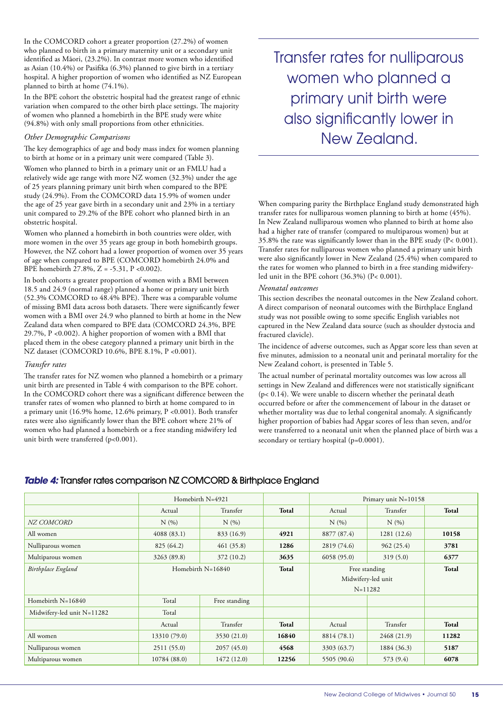In the COMCORD cohort a greater proportion (27.2%) of women who planned to birth in a primary maternity unit or a secondary unit identified as Māori, (23.2%). In contrast more women who identified as Asian (10.4%) or Pasifika (6.3%) planned to give birth in a tertiary hospital. A higher proportion of women who identified as NZ European planned to birth at home (74.1%).

In the BPE cohort the obstetric hospital had the greatest range of ethnic variation when compared to the other birth place settings. The majority of women who planned a homebirth in the BPE study were white (94.8%) with only small proportions from other ethnicities.

#### *Other Demographic Comparisons*

The key demographics of age and body mass index for women planning to birth at home or in a primary unit were compared (Table 3).

Women who planned to birth in a primary unit or an FMLU had a relatively wide age range with more NZ women (32.3%) under the age of 25 years planning primary unit birth when compared to the BPE study (24.9%). From the COMCORD data 15.9% of women under the age of 25 year gave birth in a secondary unit and 23% in a tertiary unit compared to 29.2% of the BPE cohort who planned birth in an obstetric hospital.

Women who planned a homebirth in both countries were older, with more women in the over 35 years age group in both homebirth groups. However, the NZ cohort had a lower proportion of women over 35 years of age when compared to BPE (COMCORD homebirth 24.0% and BPE homebirth 27.8%, Z = -5.31, P <0.002).

In both cohorts a greater proportion of women with a BMI between 18.5 and 24.9 (normal range) planned a home or primary unit birth (52.3% COMCORD to 48.4% BPE). There was a comparable volume of missing BMI data across both datasets. There were significantly fewer women with a BMI over 24.9 who planned to birth at home in the New Zealand data when compared to BPE data (COMCORD 24.3%, BPE 29.7%, P <0.002). A higher proportion of women with a BMI that placed them in the obese category planned a primary unit birth in the NZ dataset (COMCORD 10.6%, BPE 8.1%, P <0.001).

#### *Transfer rates*

The transfer rates for NZ women who planned a homebirth or a primary unit birth are presented in Table 4 with comparison to the BPE cohort. In the COMCORD cohort there was a significant difference between the transfer rates of women who planned to birth at home compared to in a primary unit (16.9% home, 12.6% primary, P <0.001). Both transfer rates were also significantly lower than the BPE cohort where 21% of women who had planned a homebirth or a free standing midwifery led unit birth were transferred (p<0.001).

Transfer rates for nulliparous women who planned a primary unit birth were also significantly lower in New Zealand.

When comparing parity the Birthplace England study demonstrated high transfer rates for nulliparous women planning to birth at home (45%). In New Zealand nulliparous women who planned to birth at home also had a higher rate of transfer (compared to multiparous women) but at 35.8% the rate was significantly lower than in the BPE study (P< 0.001). Transfer rates for nulliparous women who planned a primary unit birth were also significantly lower in New Zealand (25.4%) when compared to the rates for women who planned to birth in a free standing midwiferyled unit in the BPE cohort  $(36.3\%)$   $(P < 0.001)$ .

#### *Neonatal outcomes*

This section describes the neonatal outcomes in the New Zealand cohort. A direct comparison of neonatal outcomes with the Birthplace England study was not possible owing to some specific English variables not captured in the New Zealand data source (such as shoulder dystocia and fractured clavicle).

The incidence of adverse outcomes, such as Apgar score less than seven at five minutes, admission to a neonatal unit and perinatal mortality for the New Zealand cohort, is presented in Table 5.

The actual number of perinatal mortality outcomes was low across all settings in New Zealand and differences were not statistically significant (p< 0.14). We were unable to discern whether the perinatal death occurred before or after the commencement of labour in the dataset or whether mortality was due to lethal congenital anomaly. A significantly higher proportion of babies had Apgar scores of less than seven, and/or were transferred to a neonatal unit when the planned place of birth was a secondary or tertiary hospital (p=0.0001).

# **Table 4:** Transfer rates comparison NZ COMCORD & Birthplace England

|                            | Homebirth N=4921    |               |       | Primary unit $N=10158$ |                    |       |
|----------------------------|---------------------|---------------|-------|------------------------|--------------------|-------|
|                            | Actual              | Transfer      | Total | Actual                 | Transfer           | Total |
| NZ COMCORD                 | N(%                 | N(%           |       | N(%                    | N(%                |       |
| All women                  | 4088(83.1)          | 833 (16.9)    | 4921  | 8877 (87.4)            | 1281(12.6)         | 10158 |
| Nulliparous women          | 825 (64.2)          | 461(35.8)     | 1286  | 2819 (74.6)            | 962(25.4)          | 3781  |
| Multiparous women          | 3263 (89.8)         | 372 (10.2)    | 3635  | 6058(95.0)             | 319(5.0)           | 6377  |
| Birthplace England         | Homebirth $N=16840$ |               | Total | Free standing          |                    | Total |
|                            |                     |               |       |                        | Midwifery-led unit |       |
|                            |                     |               |       |                        | $N = 11282$        |       |
| Homebirth $N=16840$        | Total               | Free standing |       |                        |                    |       |
| Midwifery-led unit N=11282 | Total               |               |       |                        |                    |       |
|                            | Actual              | Transfer      | Total | Actual                 | Transfer           | Total |
| All women                  | 13310 (79.0)        | 3530 (21.0)   | 16840 | 8814 (78.1)            | 2468 (21.9)        | 11282 |
| Nulliparous women          | 2511 (55.0)         | 2057(45.0)    | 4568  | 3303 (63.7)            | 1884 (36.3)        | 5187  |
| Multiparous women          | 10784 (88.0)        | 1472(12.0)    | 12256 | 5505 (90.6)            | 573 (9.4)          | 6078  |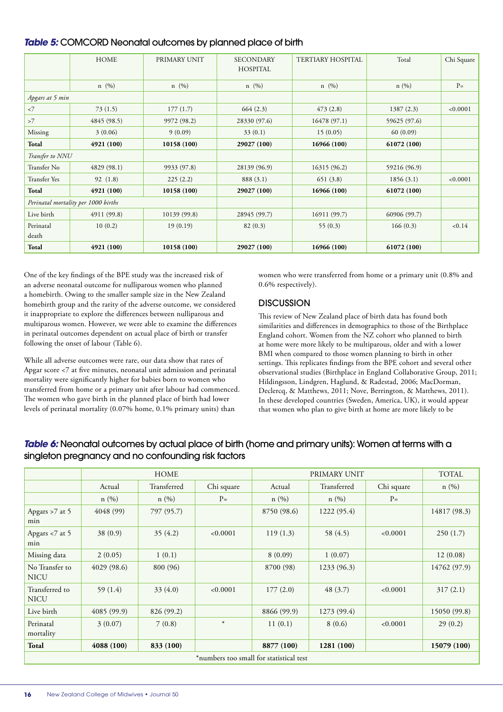|                    | <b>HOME</b>                         | PRIMARY UNIT | <b>SECONDARY</b><br><b>HOSPITAL</b> | <b>TERTIARY HOSPITAL</b> | Total        | Chi Square |
|--------------------|-------------------------------------|--------------|-------------------------------------|--------------------------|--------------|------------|
|                    | $n \ (\%)$                          | $n \ (\%)$   | $n \ (\%)$                          | $n \ (\%)$               | n(%)         | $P=$       |
| Apgars at 5 min    |                                     |              |                                     |                          |              |            |
| $<$ 7              | 73(1.5)                             | 177(1.7)     | 664(2.3)                            | 473(2.8)                 | 1387(2.3)    | < 0.0001   |
| >7                 | 4845 (98.5)                         | 9972 (98.2)  | 28330 (97.6)                        | 16478 (97.1)             | 59625 (97.6) |            |
| Missing            | 3(0.06)                             | 9(0.09)      | 33(0.1)                             | 15(0.05)                 | 60(0.09)     |            |
| Total              | 4921 (100)                          | 10158(100)   | 29027 (100)                         | 16966 (100)              | 61072 (100)  |            |
| Transfer to NNU    |                                     |              |                                     |                          |              |            |
| Transfer No        | 4829(98.1)                          | 9933 (97.8)  | 28139 (96.9)                        | 16315 (96.2)             | 59216 (96.9) |            |
| Transfer Yes       | 92(1.8)                             | 225(2.2)     | 888 (3.1)                           | 651(3.8)                 | 1856(3.1)    | < 0.0001   |
| Total              | 4921 (100)                          | 10158(100)   | 29027 (100)                         | 16966 (100)              | 61072 (100)  |            |
|                    | Perinatal mortality per 1000 births |              |                                     |                          |              |            |
| Live birth         | 4911 (99.8)                         | 10139 (99.8) | 28945 (99.7)                        | 16911 (99.7)             | 60906 (99.7) |            |
| Perinatal<br>death | 10(0.2)                             | 19(0.19)     | 82(0.3)                             | 55(0.3)                  | 166(0.3)     | < 0.14     |
| Total              | 4921 (100)                          | 10158 (100)  | 29027 (100)                         | 16966 (100)              | 61072 (100)  |            |

One of the key findings of the BPE study was the increased risk of an adverse neonatal outcome for nulliparous women who planned a homebirth. Owing to the smaller sample size in the New Zealand homebirth group and the rarity of the adverse outcome, we considered it inappropriate to explore the differences between nulliparous and multiparous women. However, we were able to examine the differences in perinatal outcomes dependent on actual place of birth or transfer following the onset of labour (Table 6).

While all adverse outcomes were rare, our data show that rates of Apgar score <7 at five minutes, neonatal unit admission and perinatal mortality were significantly higher for babies born to women who transferred from home or a primary unit after labour had commenced. The women who gave birth in the planned place of birth had lower levels of perinatal mortality (0.07% home, 0.1% primary units) than

women who were transferred from home or a primary unit (0.8% and 0.6% respectively).

# **DISCUSSION**

This review of New Zealand place of birth data has found both similarities and differences in demographics to those of the Birthplace England cohort. Women from the NZ cohort who planned to birth at home were more likely to be multiparous, older and with a lower BMI when compared to those women planning to birth in other settings. This replicates findings from the BPE cohort and several other observational studies (Birthplace in England Collaborative Group, 2011; Hildingsson, Lindgren, Haglund, & Radestad, 2006; MacDorman, Declercq, & Matthews, 2011; Nove, Berrington, & Matthews, 2011). In these developed countries (Sweden, America, UK), it would appear that women who plan to give birth at home are more likely to be

# **Table 6:** Neonatal outcomes by actual place of birth (home and primary units): Women at terms with a singleton pregnancy and no confounding risk factors

|                                         | <b>HOME</b> |             |            | PRIMARY UNIT |             |            | <b>TOTAL</b> |
|-----------------------------------------|-------------|-------------|------------|--------------|-------------|------------|--------------|
|                                         | Actual      | Transferred | Chi square | Actual       | Transferred | Chi square | n(%)         |
|                                         | n(%)        | n(%)        | $P=$       | n(%)         | n(%)        | $P=$       |              |
| Apgars >7 at 5<br>min                   | 4048 (99)   | 797 (95.7)  |            | 8750 (98.6)  | 1222 (95.4) |            | 14817 (98.3) |
| Apgars <7 at 5<br>min                   | 38(0.9)     | 35(4.2)     | < 0.0001   | 119(1.3)     | 58 (4.5)    | < 0.0001   | 250(1.7)     |
| Missing data                            | 2(0.05)     | 1(0.1)      |            | 8(0.09)      | 1(0.07)     |            | 12(0.08)     |
| No Transfer to<br><b>NICU</b>           | 4029 (98.6) | 800 (96)    |            | 8700 (98)    | 1233 (96.3) |            | 14762 (97.9) |
| Transferred to<br><b>NICU</b>           | 59 $(1.4)$  | 33(4.0)     | < 0.0001   | 177(2.0)     | 48(3.7)     | < 0.0001   | 317(2.1)     |
| Live birth                              | 4085 (99.9) | 826 (99.2)  |            | 8866 (99.9)  | 1273 (99.4) |            | 15050 (99.8) |
| Perinatal<br>mortality                  | 3(0.07)     | 7(0.8)      | $\ast$     | 11(0.1)      | 8(0.6)      | < 0.0001   | 29(0.2)      |
| Total                                   | 4088 (100)  | 833 (100)   |            | 8877 (100)   | 1281 (100)  |            | 15079 (100)  |
| *numbers too small for statistical test |             |             |            |              |             |            |              |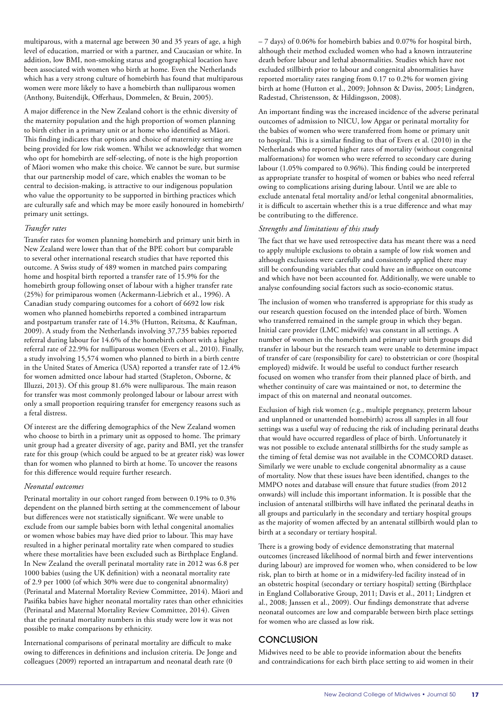multiparous, with a maternal age between 30 and 35 years of age, a high level of education, married or with a partner, and Caucasian or white. In addition, low BMI, non-smoking status and geographical location have been associated with women who birth at home. Even the Netherlands which has a very strong culture of homebirth has found that multiparous women were more likely to have a homebirth than nulliparous women (Anthony, Buitendijk, Offerhaus, Dommelen, & Bruin, 2005).

A major difference in the New Zealand cohort is the ethnic diversity of the maternity population and the high proportion of women planning to birth either in a primary unit or at home who identified as Māori. This finding indicates that options and choice of maternity setting are being provided for low risk women. Whilst we acknowledge that women who opt for homebirth are self-selecting, of note is the high proportion of Māori women who make this choice. We cannot be sure, but surmise that our partnership model of care, which enables the woman to be central to decision-making, is attractive to our indigenous population who value the opportunity to be supported in birthing practices which are culturally safe and which may be more easily honoured in homebirth/ primary unit settings.

## *Transfer rates*

Transfer rates for women planning homebirth and primary unit birth in New Zealand were lower than that of the BPE cohort but comparable to several other international research studies that have reported this outcome. A Swiss study of 489 women in matched pairs comparing home and hospital birth reported a transfer rate of 15.9% for the homebirth group following onset of labour with a higher transfer rate (25%) for primiparous women (Ackermann-Liebrich et al., 1996). A Canadian study comparing outcomes for a cohort of 6692 low risk women who planned homebirths reported a combined intrapartum and postpartum transfer rate of 14.3% (Hutton, Reitsma, & Kaufman, 2009). A study from the Netherlands involving 37,735 babies reported referral during labour for 14.6% of the homebirth cohort with a higher referral rate of 22.9% for nulliparous women (Evers et al., 2010). Finally, a study involving 15,574 women who planned to birth in a birth centre in the United States of America (USA) reported a transfer rate of 12.4% for women admitted once labour had started (Stapleton, Osborne, & Illuzzi, 2013). Of this group 81.6% were nulliparous. The main reason for transfer was most commonly prolonged labour or labour arrest with only a small proportion requiring transfer for emergency reasons such as a fetal distress.

Of interest are the differing demographics of the New Zealand women who choose to birth in a primary unit as opposed to home. The primary unit group had a greater diversity of age, parity and BMI, yet the transfer rate for this group (which could be argued to be at greater risk) was lower than for women who planned to birth at home. To uncover the reasons for this difference would require further research.

#### *Neonatal outcomes*

Perinatal mortality in our cohort ranged from between 0.19% to 0.3% dependent on the planned birth setting at the commencement of labour but differences were not statistically significant. We were unable to exclude from our sample babies born with lethal congenital anomalies or women whose babies may have died prior to labour. This may have resulted in a higher perinatal mortality rate when compared to studies where these mortalities have been excluded such as Birthplace England. In New Zealand the overall perinatal mortality rate in 2012 was 6.8 per 1000 babies (using the UK definition) with a neonatal mortality rate of 2.9 per 1000 (of which 30% were due to congenital abnormality) (Perinatal and Maternal Mortality Review Committee, 2014). Māori and Pasifika babies have higher neonatal mortality rates than other ethnicities (Perinatal and Maternal Mortality Review Committee, 2014). Given that the perinatal mortality numbers in this study were low it was not possible to make comparisons by ethnicity.

International comparisons of perinatal mortality are difficult to make owing to differences in definitions and inclusion criteria. De Jonge and colleagues (2009) reported an intrapartum and neonatal death rate (0

– 7 days) of 0.06% for homebirth babies and 0.07% for hospital birth, although their method excluded women who had a known intrauterine death before labour and lethal abnormalities. Studies which have not excluded stillbirth prior to labour and congenital abnormalities have reported mortality rates ranging from 0.17 to 0.2% for women giving birth at home (Hutton et al., 2009; Johnson & Daviss, 2005; Lindgren, Radestad, Christensson, & Hildingsson, 2008).

An important finding was the increased incidence of the adverse perinatal outcomes of admission to NICU, low Apgar or perinatal mortality for the babies of women who were transferred from home or primary unit to hospital. This is a similar finding to that of Evers et al. (2010) in the Netherlands who reported higher rates of mortality (without congenital malformations) for women who were referred to secondary care during labour (1.05% compared to 0.96%). This finding could be interpreted as appropriate transfer to hospital of women or babies who need referral owing to complications arising during labour. Until we are able to exclude antenatal fetal mortality and/or lethal congenital abnormalities, it is difficult to ascertain whether this is a true difference and what may be contributing to the difference.

## *Strengths and limitations of this study*

The fact that we have used retrospective data has meant there was a need to apply multiple exclusions to obtain a sample of low risk women and although exclusions were carefully and consistently applied there may still be confounding variables that could have an influence on outcome and which have not been accounted for. Additionally, we were unable to analyse confounding social factors such as socio-economic status.

The inclusion of women who transferred is appropriate for this study as our research question focused on the intended place of birth. Women who transferred remained in the sample group in which they began. Initial care provider (LMC midwife) was constant in all settings. A number of women in the homebirth and primary unit birth groups did transfer in labour but the research team were unable to determine impact of transfer of care (responsibility for care) to obstetrician or core (hospital employed) midwife. It would be useful to conduct further research focused on women who transfer from their planned place of birth, and whether continuity of care was maintained or not, to determine the impact of this on maternal and neonatal outcomes.

Exclusion of high risk women (e.g., multiple pregnancy, preterm labour and unplanned or unattended homebirth) across all samples in all four settings was a useful way of reducing the risk of including perinatal deaths that would have occurred regardless of place of birth. Unfortunately it was not possible to exclude antenatal stillbirths for the study sample as the timing of fetal demise was not available in the COMCORD dataset. Similarly we were unable to exclude congenital abnormality as a cause of mortality. Now that these issues have been identified, changes to the MMPO notes and database will ensure that future studies (from 2012 onwards) will include this important information. It is possible that the inclusion of antenatal stillbirths will have inflated the perinatal deaths in all groups and particularly in the secondary and tertiary hospital groups as the majority of women affected by an antenatal stillbirth would plan to birth at a secondary or tertiary hospital.

There is a growing body of evidence demonstrating that maternal outcomes (increased likelihood of normal birth and fewer interventions during labour) are improved for women who, when considered to be low risk, plan to birth at home or in a midwifery-led facility instead of in an obstetric hospital (secondary or tertiary hospital) setting (Birthplace in England Collaborative Group, 2011; Davis et al., 2011; Lindgren et al., 2008; Janssen et al., 2009). Our findings demonstrate that adverse neonatal outcomes are low and comparable between birth place settings for women who are classed as low risk.

## **CONCLUSION**

Midwives need to be able to provide information about the benefits and contraindications for each birth place setting to aid women in their